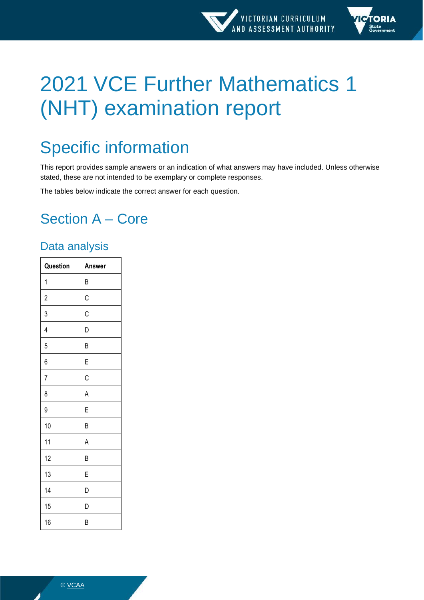

# 2021 VCE Further Mathematics 1 (NHT) examination report

# Specific information

This report provides sample answers or an indication of what answers may have included. Unless otherwise stated, these are not intended to be exemplary or complete responses.

The tables below indicate the correct answer for each question.

# Section A – Core

## Data analysis

| Question                | Answer      |
|-------------------------|-------------|
| 1                       | B           |
| $\overline{\mathbf{c}}$ | $\mathsf C$ |
| 3                       | C           |
| 4                       | D           |
| 5                       | B           |
| 6                       | E           |
| $\overline{7}$          | C           |
| 8                       | A           |
| 9                       | E           |
| 10                      | B           |
| 11                      | A           |
| 12                      | B           |
| 13                      | E           |
| 14                      | D           |
| 15                      | D           |
| 16                      | B           |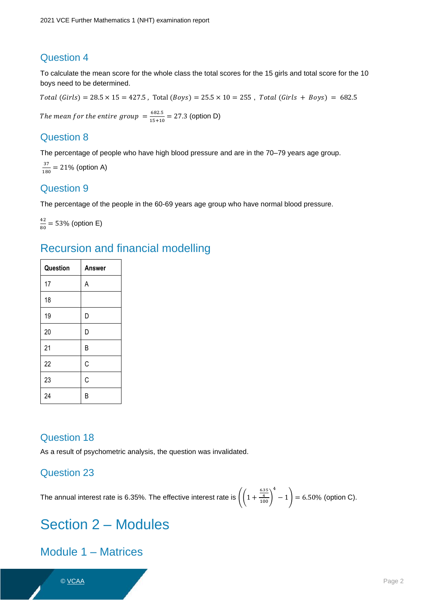### Question 4

To calculate the mean score for the whole class the total scores for the 15 girls and total score for the 10 boys need to be determined.

 $Total (Girls) = 28.5 \times 15 = 427.5$ , Total  $(Boys) = 25.5 \times 10 = 255$ , Total  $(Girls + Boys) = 682.5$ 

The mean for the entire group  $=$   $\frac{682.5}{15+10}$  $\frac{0.0213}{15+10}$  = 27.3 (option D)

### Question 8

The percentage of people who have high blood pressure and are in the 70–79 years age group.

37  $\frac{37}{180}$  = 21% (option A)

### Question 9

The percentage of the people in the 60-69 years age group who have normal blood pressure.

42  $\frac{42}{80}$  = 53% (option E)

## Recursion and financial modelling

| Question | Answer |
|----------|--------|
| 17       | A      |
| 18       |        |
| 19       | D      |
| 20       | D      |
| 21       | B      |
| 22       | C      |
| 23       | C      |
| 24       | В      |

### Question 18

As a result of psychometric analysis, the question was invalidated.

### Question 23

The annual interest rate is 6.35%. The effective interest rate is  $\left(\left(1+\frac{\frac{6.35}{4}}{100}\right)\right)$ 4  $-1$  = 6.50% (option C).

# Section 2 – Modules

### Module 1 – Matrices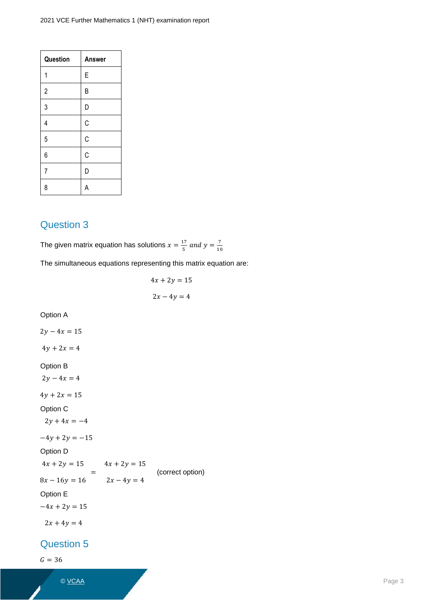| Question                | <b>Answer</b> |
|-------------------------|---------------|
| 1                       | E             |
| $\overline{c}$          | B             |
| 3                       | D             |
| $\overline{\mathbf{4}}$ | C             |
| 5                       | $\mathsf C$   |
| 6                       | C             |
| $\overline{7}$          | D             |
| 8                       | A             |

### Question 3

The given matrix equation has solutions  $x = \frac{17}{5}$  $\frac{17}{5}$  and  $y = \frac{7}{10}$ 10

The simultaneous equations representing this matrix equation are:

 $4x + 2y = 15$  $2x - 4y = 4$ Option A  $2y - 4x = 15$  $4y + 2x = 4$ Option B  $2y - 4x = 4$  $4y + 2x = 15$ Option C  $2y + 4x = -4$  $-4y + 2y = -15$ Option D  $4x + 2y = 15$   $4x + 2y = 15$  $8x - 16y = 16$ =  $2x - 4y = 4$  (correct option) Option E  $-4x + 2y = 15$  $2x + 4y = 4$ 

### Question 5

 $G = 36$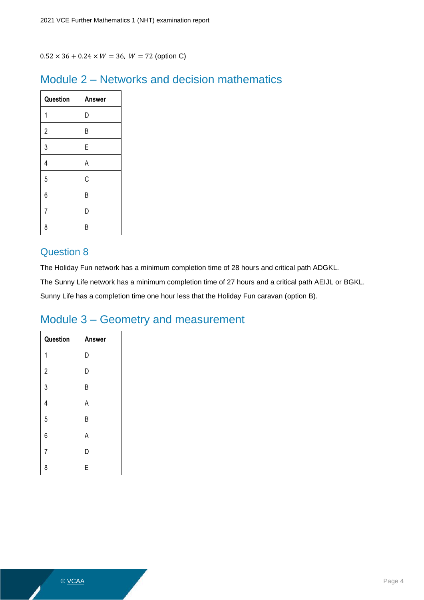$0.52 \times 36 + 0.24 \times W = 36$ ,  $W = 72$  (option C)

### Module 2 – Networks and decision mathematics

| Question       | <b>Answer</b> |
|----------------|---------------|
| 1              | D             |
| $\overline{c}$ | B             |
| 3              | E             |
| 4              | A             |
| 5              | C             |
| 6              | B             |
| $\overline{7}$ | D             |
| 8              | B             |

### Question 8

The Holiday Fun network has a minimum completion time of 28 hours and critical path ADGKL.

The Sunny Life network has a minimum completion time of 27 hours and a critical path AEIJL or BGKL.

Sunny Life has a completion time one hour less that the Holiday Fun caravan (option B).

## Module 3 – Geometry and measurement

| Question       | <b>Answer</b> |
|----------------|---------------|
| 1              | D             |
| $\overline{c}$ | D             |
| 3              | B             |
| 4              | A             |
| 5              | B             |
| 6              | A             |
| $\overline{7}$ | D             |
| 8              | E             |